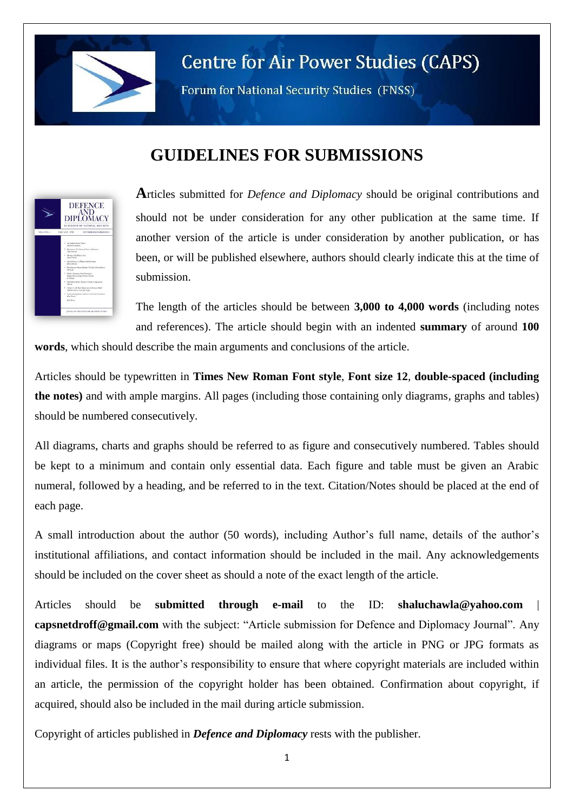

## **Centre for Air Power Studies (CAPS)**

Forum for National Security Studies (FNSS)

## **GUIDELINES FOR SUBMISSIONS**



**A**rticles submitted for *Defence and Diplomacy* should be original contributions and should not be under consideration for any other publication at the same time. If another version of the article is under consideration by another publication, or has been, or will be published elsewhere, authors should clearly indicate this at the time of submission.

The length of the articles should be between **3,000 to 4,000 words** (including notes and references). The article should begin with an indented **summary** of around **100** 

**words**, which should describe the main arguments and conclusions of the article.

Articles should be typewritten in **Times New Roman Font style**, **Font size 12**, **double-spaced (including the notes)** and with ample margins. All pages (including those containing only diagrams, graphs and tables) should be numbered consecutively.

All diagrams, charts and graphs should be referred to as figure and consecutively numbered. Tables should be kept to a minimum and contain only essential data. Each figure and table must be given an Arabic numeral, followed by a heading, and be referred to in the text. Citation/Notes should be placed at the end of each page.

A small introduction about the author (50 words), including Author's full name, details of the author's institutional affiliations, and contact information should be included in the mail. Any acknowledgements should be included on the cover sheet as should a note of the exact length of the article.

Articles should be **submitted through e-mail** to the ID: **[shaluchawla@yahoo.com](mailto:shaluchawla@yahoo.com) [capsnetdroff@gmail.com](mailto:capsnetdroff@gmail.com)** with the subject: "Article submission for Defence and Diplomacy Journal". Any diagrams or maps (Copyright free) should be mailed along with the article in PNG or JPG formats as individual files. It is the author's responsibility to ensure that where copyright materials are included within an article, the permission of the copyright holder has been obtained. Confirmation about copyright, if acquired, should also be included in the mail during article submission.

Copyright of articles published in *Defence and Diplomacy* rests with the publisher.